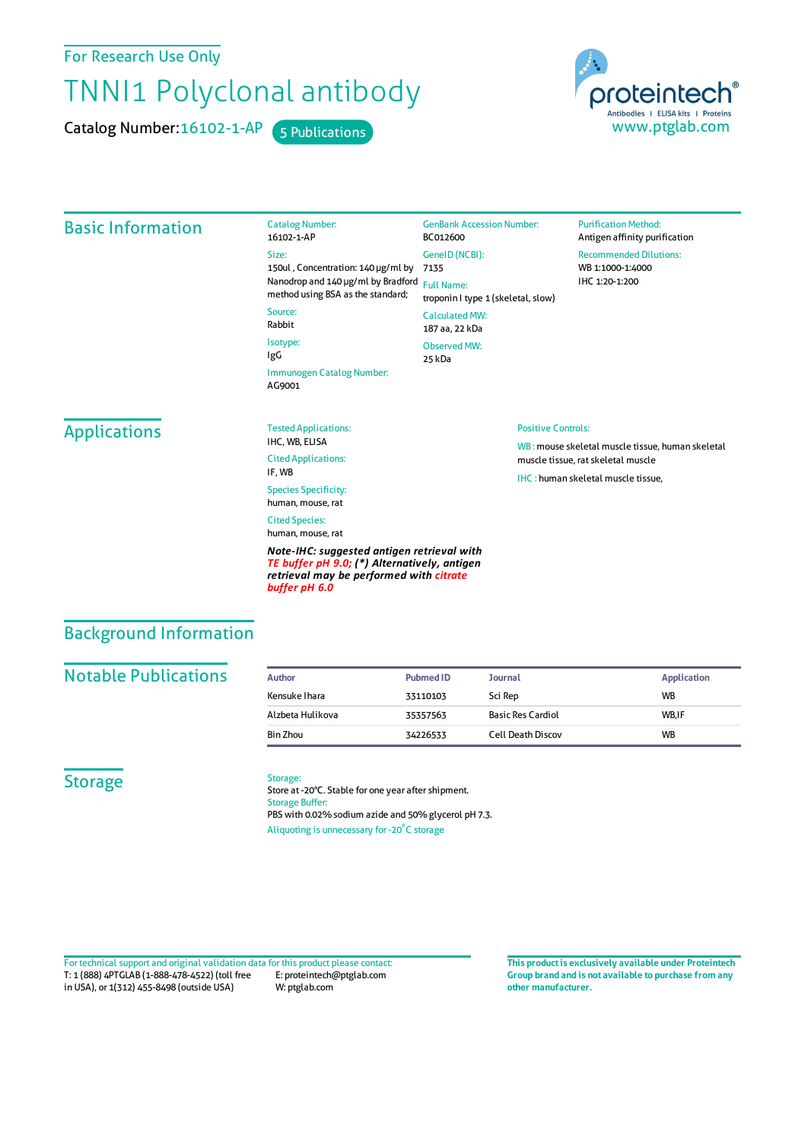For Research Use Only

# TNNI1 Polyclonal antibody

Catalog Number: 16102-1-AP 5 Publications



#### Basic Information Catalog Number: 16102-1-AP Size: 150ul , Concentration: 140 μg/ml by 7135 Nanodrop and 140 μg/ml by Bradford Full Name: method using BSA as the standard; Source: Rabbit Isotype: IgG Immunogen Catalog Number: AG9001 GenBank Accession Number: BC012600 GeneID(NCBI): troponin I type 1 (skeletal, slow) CalculatedMW: 187 aa, 22 kDa Observed MW: 25 kDa **Purification Method:** Antigen affinity purification Recommended Dilutions: WB 1:1000-1:4000 IHC 1:20-1:200 **Applications** Tested Applications: IHC, WB, ELISA Cited Applications: IF, WB Species Specificity: human, mouse, rat Cited Species: human, mouse, rat *Note-IHC: suggested antigen retrieval with TE buffer pH 9.0; (\*) Alternatively, antigen retrieval may be performed with citrate* Positive Controls: WB : mouse skeletal muscle tissue, human skeletal muscle tissue, ratskeletal muscle IHC : human skeletal muscle tissue,

### Background Information

#### **Notable Publications**

| Author           | <b>Pubmed ID</b> | <b>Journal</b>           | Application |
|------------------|------------------|--------------------------|-------------|
| Kensuke Ihara    | 33110103         | Sci Rep                  | <b>WB</b>   |
| Alzbeta Hulikova | 35357563         | <b>Basic Res Cardiol</b> | WB.IF       |
| Bin Zhou         | 34226533         | <b>Cell Death Discov</b> | <b>WB</b>   |

#### **Storage**

#### Storage:

*buffer pH 6.0*

Store at -20°C. Stable for one year after shipment. Storage Buffer: PBS with 0.02% sodium azide and 50% glycerol pH 7.3. Aliquoting is unnecessary for -20<sup>°</sup>C storage

T: 1 (888) 4PTGLAB (1-888-478-4522) (toll free in USA), or 1(312) 455-8498 (outside USA) E: proteintech@ptglab.com W: ptglab.com Fortechnical support and original validation data forthis product please contact: **This productis exclusively available under Proteintech**

**Group brand and is not available to purchase from any other manufacturer.**